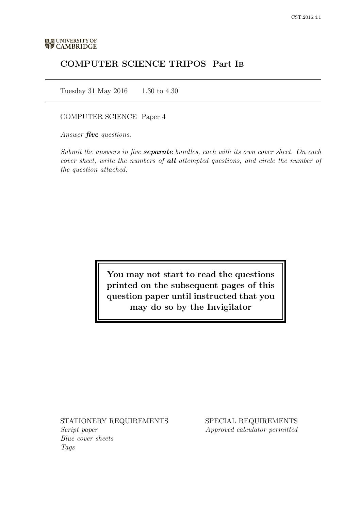# COMPUTER SCIENCE TRIPOS Part IB

Tuesday 31 May 2016 1.30 to 4.30

COMPUTER SCIENCE Paper 4

Answer *five* questions.

Submit the answers in five **separate** bundles, each with its own cover sheet. On each cover sheet, write the numbers of **all** attempted questions, and circle the number of the question attached.

> You may not start to read the questions printed on the subsequent pages of this question paper until instructed that you may do so by the Invigilator

STATIONERY REQUIREMENTS Script paper Blue cover sheets

Tags

SPECIAL REQUIREMENTS Approved calculator permitted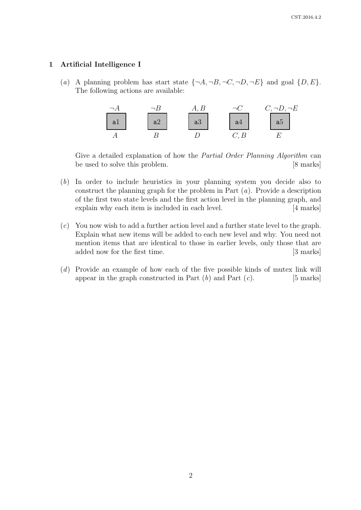# 1 Artificial Intelligence I

(a) A planning problem has start state  $\{\neg A, \neg B, \neg C, \neg D, \neg E\}$  and goal  $\{D, E\}$ . The following actions are available:



Give a detailed explanation of how the Partial Order Planning Algorithm can be used to solve this problem. [8 marks]

- (b) In order to include heuristics in your planning system you decide also to construct the planning graph for the problem in Part  $(a)$ . Provide a description of the first two state levels and the first action level in the planning graph, and explain why each item is included in each level. [4 marks]
- (c) You now wish to add a further action level and a further state level to the graph. Explain what new items will be added to each new level and why. You need not mention items that are identical to those in earlier levels, only those that are added now for the first time. [3 marks]
- (d) Provide an example of how each of the five possible kinds of mutex link will appear in the graph constructed in Part  $(b)$  and Part  $(c)$ . [5 marks]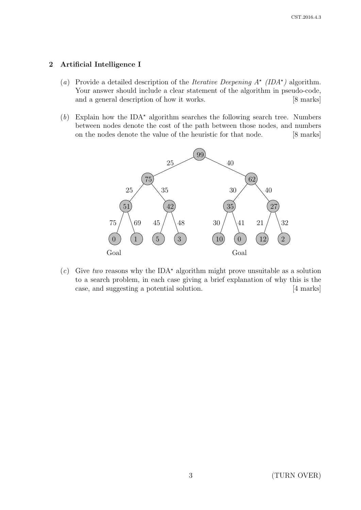# 2 Artificial Intelligence I

- (a) Provide a detailed description of the *Iterative Deepening*  $A^*$  (*IDA*<sup>\*</sup>) algorithm. Your answer should include a clear statement of the algorithm in pseudo-code, and a general description of how it works. [8 marks]
- (b) Explain how the IDA<sup>\*</sup> algorithm searches the following search tree. Numbers between nodes denote the cost of the path between those nodes, and numbers on the nodes denote the value of the heuristic for that node. [8 marks]



(c) Give two reasons why the IDA<sup>\*</sup> algorithm might prove unsuitable as a solution to a search problem, in each case giving a brief explanation of why this is the case, and suggesting a potential solution. [4 marks]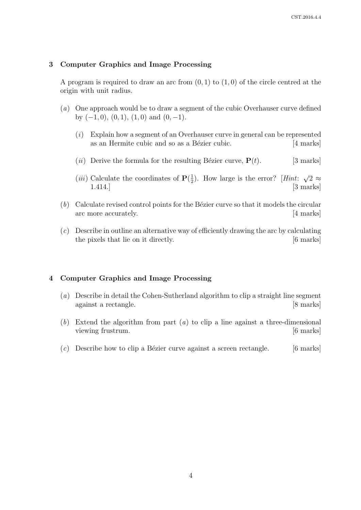### 3 Computer Graphics and Image Processing

A program is required to draw an arc from  $(0, 1)$  to  $(1, 0)$  of the circle centred at the origin with unit radius.

- (a) One approach would be to draw a segment of the cubic Overhauser curve defined by  $(-1, 0)$ ,  $(0, 1)$ ,  $(1, 0)$  and  $(0, -1)$ .
	- (i) Explain how a segment of an Overhauser curve in general can be represented as an Hermite cubic and so as a Bézier cubic. [4 marks]
	- (*ii*) Derive the formula for the resulting Bézier curve,  $P(t)$ . [3 marks]
	- (*iii*) Calculate the coordinates of  $P(\frac{1}{2})$  $\frac{1}{2}$ ). How large is the error? [*Hint*: √  $2 \approx$ 1.414.] [3 marks]
- $(b)$  Calculate revised control points for the Bézier curve so that it models the circular arc more accurately. [4 marks]
- (c) Describe in outline an alternative way of efficiently drawing the arc by calculating the pixels that lie on it directly. [6 marks]

### 4 Computer Graphics and Image Processing

- (a) Describe in detail the Cohen-Sutherland algorithm to clip a straight line segment against a rectangle. [8 marks]
- (b) Extend the algorithm from part (a) to clip a line against a three-dimensional viewing frustrum.  $\qquad \qquad$  [6 marks]
- $(c)$  Describe how to clip a Bézier curve against a screen rectangle. [6 marks]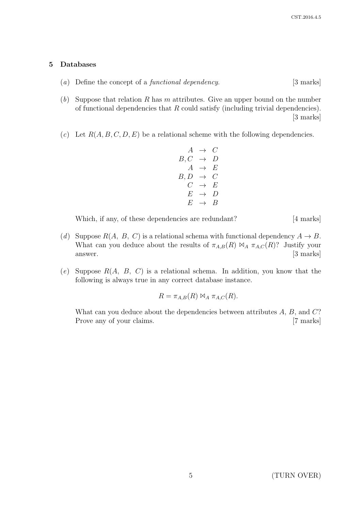#### 5 Databases

- (a) Define the concept of a functional dependency. [3 marks]
- (b) Suppose that relation R has m attributes. Give an upper bound on the number of functional dependencies that  $R$  could satisfy (including trivial dependencies). [3 marks]
- (c) Let  $R(A, B, C, D, E)$  be a relational scheme with the following dependencies.

$$
\begin{array}{rcl}\nA & \rightarrow & C \\
B, C & \rightarrow & D \\
A & \rightarrow & E \\
B, D & \rightarrow & C \\
C & \rightarrow & E \\
E & \rightarrow & D \\
E & \rightarrow & B\n\end{array}
$$

Which, if any, of these dependencies are redundant? [4 marks]

- (d) Suppose  $R(A, B, C)$  is a relational schema with functional dependency  $A \rightarrow B$ . What can you deduce about the results of  $\pi_{A,B}(R) \bowtie_A \pi_{A,C}(R)$ ? Justify your answer. [3 marks]
- (e) Suppose  $R(A, B, C)$  is a relational schema. In addition, you know that the following is always true in any correct database instance.

$$
R = \pi_{A,B}(R) \bowtie_A \pi_{A,C}(R).
$$

What can you deduce about the dependencies between attributes  $A, B$ , and  $C$ ? Prove any of your claims. [7 marks]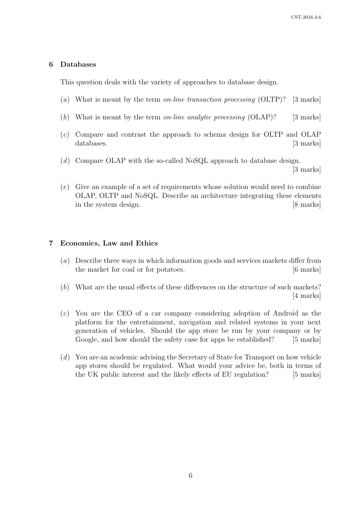#### 6 Databases

This question deals with the variety of approaches to database design.

- (a) What is meant by the term on-line transaction processing (OLTP)? [3 marks]
- (b) What is meant by the term on-line analytic processing  $(OLAP)$ ? [3 marks]
- (c) Compare and contrast the approach to schema design for OLTP and OLAP databases. [3 marks]
- $(d)$  Compare OLAP with the so-called NoSQL approach to database design. [3 marks]
- (e) Give an example of a set of requirements whose solution would need to combine OLAP, OLTP and NoSQL. Describe an architecture integrating these elements in the system design. [8 marks]

### 7 Economics, Law and Ethics

- (a) Describe three ways in which information goods and services markets differ from the market for coal or for potatoes. [6 marks]
- (b) What are the usual effects of these differences on the structure of such markets? [4 marks]
- (c) You are the CEO of a car company considering adoption of Android as the platform for the entertainment, navigation and related systems in your next generation of vehicles. Should the app store be run by your company or by Google, and how should the safety case for apps be established? [5 marks]
- (d) You are an academic advising the Secretary of State for Transport on how vehicle app stores should be regulated. What would your advice be, both in terms of the UK public interest and the likely effects of EU regulation? [5 marks]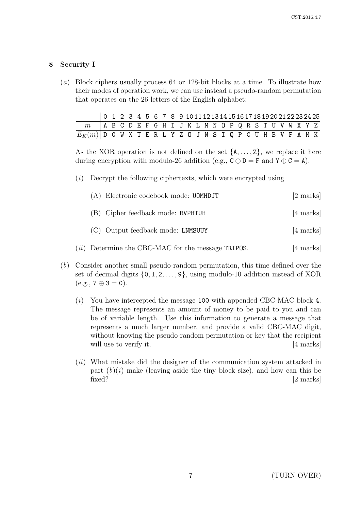# 8 Security I

(a) Block ciphers usually process 64 or 128-bit blocks at a time. To illustrate how their modes of operation work, we can use instead a pseudo-random permutation that operates on the 26 letters of the English alphabet:

|                                                              |  |  |  |  |  |  |  |  |  |  |  |  | $0 \quad 1 \quad 2 \quad 3 \quad 4 \quad 5 \quad 6 \quad 7 \quad 8 \quad 9 \quad 10111213141516171819202122232425$ |
|--------------------------------------------------------------|--|--|--|--|--|--|--|--|--|--|--|--|--------------------------------------------------------------------------------------------------------------------|
| $m$ ABCDEFGHIJKLMNOPQRSTUVWXYZ                               |  |  |  |  |  |  |  |  |  |  |  |  |                                                                                                                    |
| $E_K(m)$ D G W X T E R L Y Z O J N S I Q P C U H B V F A M K |  |  |  |  |  |  |  |  |  |  |  |  |                                                                                                                    |

As the XOR operation is not defined on the set  $\{A, \ldots, Z\}$ , we replace it here during encryption with modulo-26 addition (e.g.,  $C \oplus D = F$  and  $Y \oplus C = A$ ).

 $(i)$  Decrypt the following ciphertexts, which were encrypted using

|      | (A) Electronic codebook mode: UOMHDJT         | $[2 \text{ marks}]$ |
|------|-----------------------------------------------|---------------------|
|      | (B) Cipher feedback mode: RVPHTUH             | [4 marks]           |
|      | (C) Output feedback mode: LNMSUUY             | [4 marks]           |
| (ii) | Determine the CBC-MAC for the message TRIPOS. | $[4 \text{ marks}]$ |

- (b) Consider another small pseudo-random permutation, this time defined over the set of decimal digits  $\{0, 1, 2, \ldots, 9\}$ , using modulo-10 addition instead of XOR  $(e.g., 7 \oplus 3 = 0).$ 
	- (i) You have intercepted the message 100 with appended CBC-MAC block 4. The message represents an amount of money to be paid to you and can be of variable length. Use this information to generate a message that represents a much larger number, and provide a valid CBC-MAC digit, without knowing the pseudo-random permutation or key that the recipient will use to verify it. [4 marks]
	- $(ii)$  What mistake did the designer of the communication system attacked in part  $(b)(i)$  make (leaving aside the tiny block size), and how can this be fixed? [2 marks]